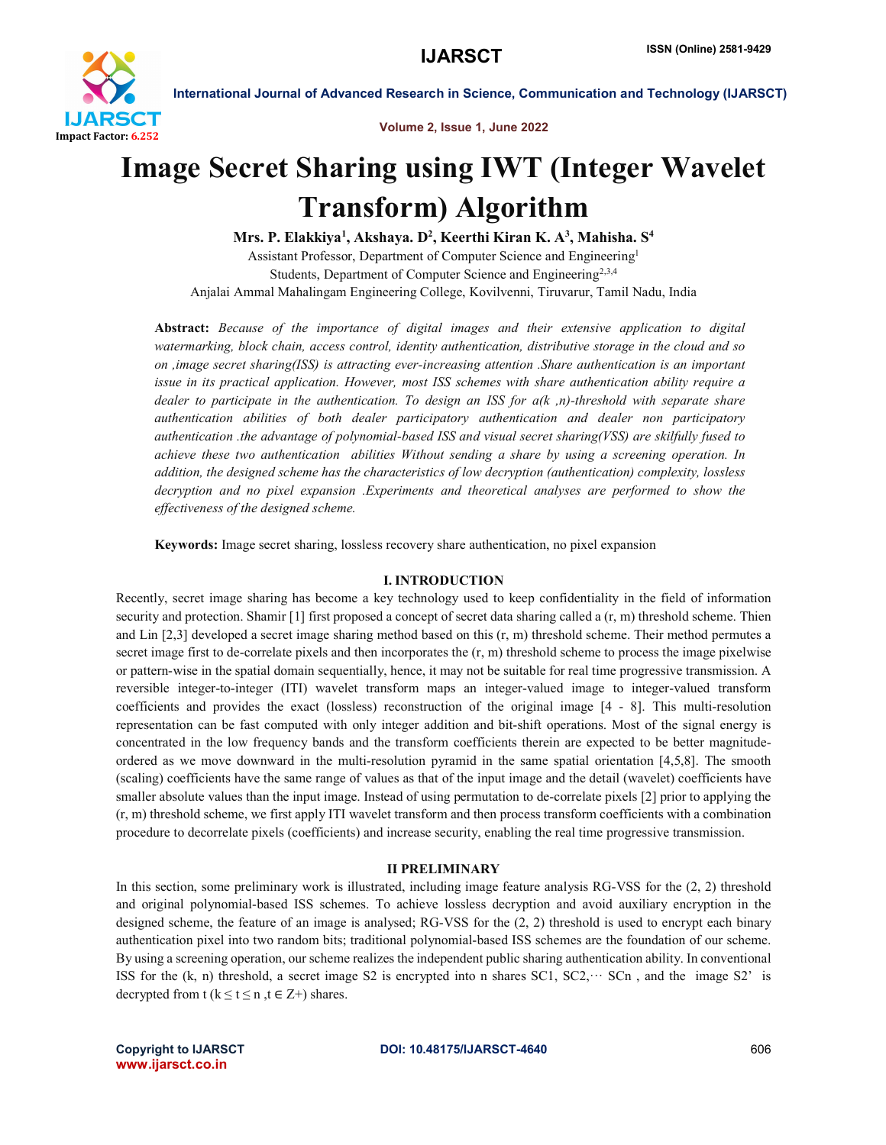

Volume 2, Issue 1, June 2022

# Image Secret Sharing using IWT (Integer Wavelet Transform) Algorithm

Mrs. P. Elakkiya<sup>1</sup>, Akshaya. D<sup>2</sup>, Keerthi Kiran K. A<sup>3</sup>, Mahisha. S<sup>4</sup>

Assistant Professor, Department of Computer Science and Engineering1 Students, Department of Computer Science and Engineering2,3,4 Anjalai Ammal Mahalingam Engineering College, Kovilvenni, Tiruvarur, Tamil Nadu, India

Abstract: *Because of the importance of digital images and their extensive application to digital watermarking, block chain, access control, identity authentication, distributive storage in the cloud and so on ,image secret sharing(ISS) is attracting ever-increasing attention .Share authentication is an important issue in its practical application. However, most ISS schemes with share authentication ability require a dealer to participate in the authentication. To design an ISS for a(k ,n)-threshold with separate share authentication abilities of both dealer participatory authentication and dealer non participatory authentication .the advantage of polynomial-based ISS and visual secret sharing(VSS) are skilfully fused to achieve these two authentication abilities Without sending a share by using a screening operation. In addition, the designed scheme has the characteristics of low decryption (authentication) complexity, lossless decryption and no pixel expansion .Experiments and theoretical analyses are performed to show the effectiveness of the designed scheme.*

Keywords: Image secret sharing, lossless recovery share authentication, no pixel expansion

# I. INTRODUCTION

Recently, secret image sharing has become a key technology used to keep confidentiality in the field of information security and protection. Shamir [1] first proposed a concept of secret data sharing called a  $(r, m)$  threshold scheme. Thien and Lin [2,3] developed a secret image sharing method based on this (r, m) threshold scheme. Their method permutes a secret image first to de-correlate pixels and then incorporates the  $(r, m)$  threshold scheme to process the image pixelwise or pattern-wise in the spatial domain sequentially, hence, it may not be suitable for real time progressive transmission. A reversible integer-to-integer (ITI) wavelet transform maps an integer-valued image to integer-valued transform coefficients and provides the exact (lossless) reconstruction of the original image [4 - 8]. This multi-resolution representation can be fast computed with only integer addition and bit-shift operations. Most of the signal energy is concentrated in the low frequency bands and the transform coefficients therein are expected to be better magnitudeordered as we move downward in the multi-resolution pyramid in the same spatial orientation [4,5,8]. The smooth (scaling) coefficients have the same range of values as that of the input image and the detail (wavelet) coefficients have smaller absolute values than the input image. Instead of using permutation to de-correlate pixels [2] prior to applying the (r, m) threshold scheme, we first apply ITI wavelet transform and then process transform coefficients with a combination procedure to decorrelate pixels (coefficients) and increase security, enabling the real time progressive transmission.

# II PRELIMINARY

In this section, some preliminary work is illustrated, including image feature analysis RG-VSS for the (2, 2) threshold and original polynomial-based ISS schemes. To achieve lossless decryption and avoid auxiliary encryption in the designed scheme, the feature of an image is analysed; RG-VSS for the (2, 2) threshold is used to encrypt each binary authentication pixel into two random bits; traditional polynomial-based ISS schemes are the foundation of our scheme. By using a screening operation, our scheme realizes the independent public sharing authentication ability. In conventional ISS for the  $(k, n)$  threshold, a secret image S2 is encrypted into n shares SC1, SC2, $\cdots$  SCn, and the image S2' is decrypted from t ( $k \le t \le n$ ,  $t \in Z^+$ ) shares.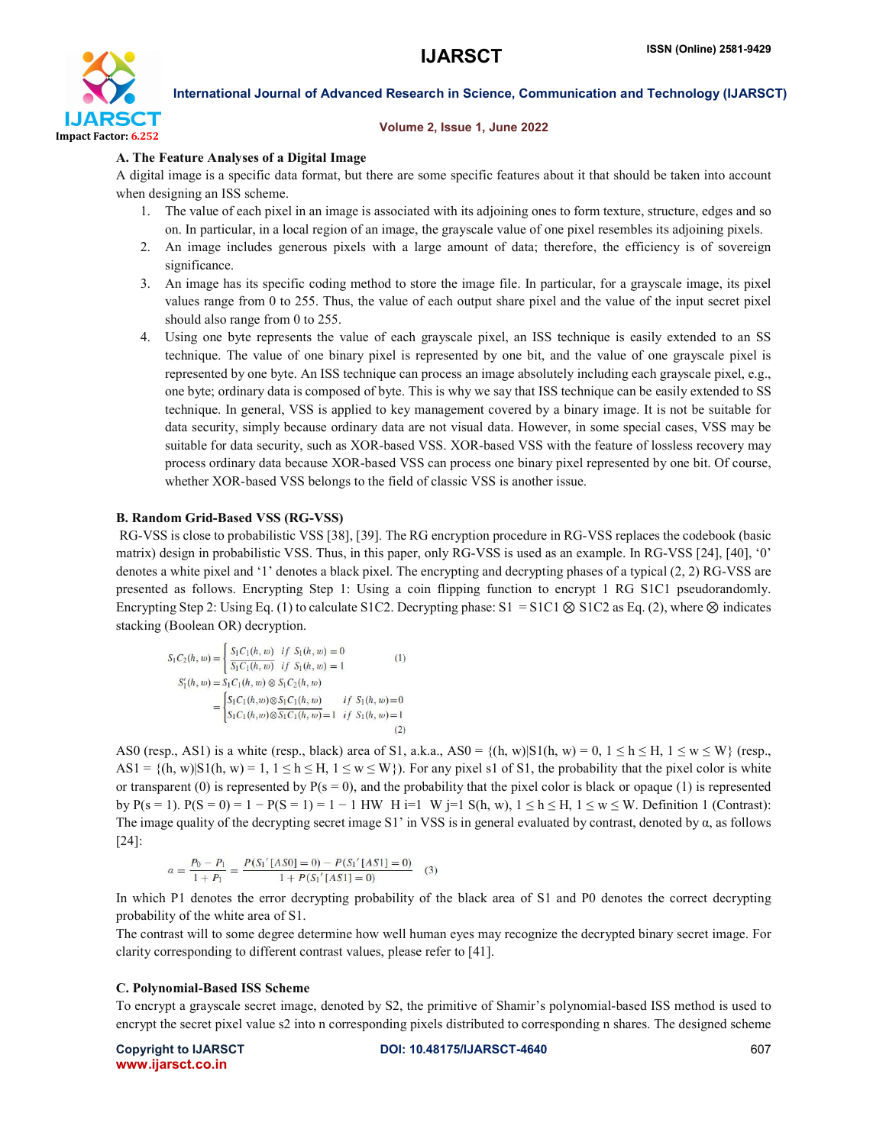

### Volume 2, Issue 1, June 2022

# A. The Feature Analyses of a Digital Image

A digital image is a specific data format, but there are some specific features about it that should be taken into account when designing an ISS scheme.

- 1. The value of each pixel in an image is associated with its adjoining ones to form texture, structure, edges and so on. In particular, in a local region of an image, the grayscale value of one pixel resembles its adjoining pixels.
- 2. An image includes generous pixels with a large amount of data; therefore, the efficiency is of sovereign significance.
- 3. An image has its specific coding method to store the image file. In particular, for a grayscale image, its pixel values range from 0 to 255. Thus, the value of each output share pixel and the value of the input secret pixel should also range from 0 to 255.
- 4. Using one byte represents the value of each grayscale pixel, an ISS technique is easily extended to an SS technique. The value of one binary pixel is represented by one bit, and the value of one grayscale pixel is represented by one byte. An ISS technique can process an image absolutely including each grayscale pixel, e.g., one byte; ordinary data is composed of byte. This is why we say that ISS technique can be easily extended to SS technique. In general, VSS is applied to key management covered by a binary image. It is not be suitable for data security, simply because ordinary data are not visual data. However, in some special cases, VSS may be suitable for data security, such as XOR-based VSS. XOR-based VSS with the feature of lossless recovery may process ordinary data because XOR-based VSS can process one binary pixel represented by one bit. Of course, whether XOR-based VSS belongs to the field of classic VSS is another issue.

# B. Random Grid-Based VSS (RG-VSS)

RG-VSS is close to probabilistic VSS [38], [39]. The RG encryption procedure in RG-VSS replaces the codebook (basic matrix) design in probabilistic VSS. Thus, in this paper, only RG-VSS is used as an example. In RG-VSS [24], [40], '0' denotes a white pixel and '1' denotes a black pixel. The encrypting and decrypting phases of a typical (2, 2) RG-VSS are presented as follows. Encrypting Step 1: Using a coin flipping function to encrypt 1 RG S1C1 pseudorandomly. Encrypting Step 2: Using Eq. (1) to calculate S1C2. Decrypting phase: S1 = S1C1  $\otimes$  S1C2 as Eq. (2), where  $\otimes$  indicates stacking (Boolean OR) decryption.

$$
S_1 C_2(h, w) = \begin{cases} S_1 C_1(h, w) & \text{if } S_1(h, w) = 0 \\ \overline{S_1 C_1(h, w)} & \text{if } S_1(h, w) = 1 \end{cases}
$$
(1)  

$$
S'_1(h, w) = S_1 C_1(h, w) \otimes S_1 C_2(h, w)
$$

$$
= \begin{cases} S_1 C_1(h, w) \otimes S_1 C_1(h, w) & \text{if } S_1(h, w) = 0 \\ S_1 C_1(h, w) \otimes \overline{S_1 C_1(h, w)} = 1 & \text{if } S_1(h, w) = 1 \\ (2) \end{cases}
$$

AS0 (resp., AS1) is a white (resp., black) area of S1, a.k.a., AS0 =  $\{(h, w) | S1(h, w) = 0, 1 \le h \le H, 1 \le w \le W\}$  (resp., AS1 = {(h, w)|S1(h, w) = 1, 1 ≤ h ≤ H, 1 ≤ w ≤ W}). For any pixel s1 of S1, the probability that the pixel color is white or transparent (0) is represented by  $P(s = 0)$ , and the probability that the pixel color is black or opaque (1) is represented by P(s = 1). P(S = 0) = 1 – P(S = 1) = 1 – 1 HW H i=1 W j=1 S(h, w), 1  $\leq$  h  $\leq$  H, 1  $\leq$  w  $\leq$  W. Definition 1 (Contrast): The image quality of the decrypting secret image S1' in VSS is in general evaluated by contrast, denoted by  $\alpha$ , as follows [24]:

$$
\alpha = \frac{P_0 - P_1}{1 + P_1} = \frac{P(S_1' [AS0] = 0) - P(S_1' [AS1] = 0)}{1 + P(S_1' [AS1] = 0)}
$$
(3)

In which P1 denotes the error decrypting probability of the black area of S1 and P0 denotes the correct decrypting probability of the white area of S1.

The contrast will to some degree determine how well human eyes may recognize the decrypted binary secret image. For clarity corresponding to different contrast values, please refer to [41].

# C. Polynomial-Based ISS Scheme

To encrypt a grayscale secret image, denoted by S2, the primitive of Shamir's polynomial-based ISS method is used to encrypt the secret pixel value s2 into n corresponding pixels distributed to corresponding n shares. The designed scheme

www.ijarsct.co.in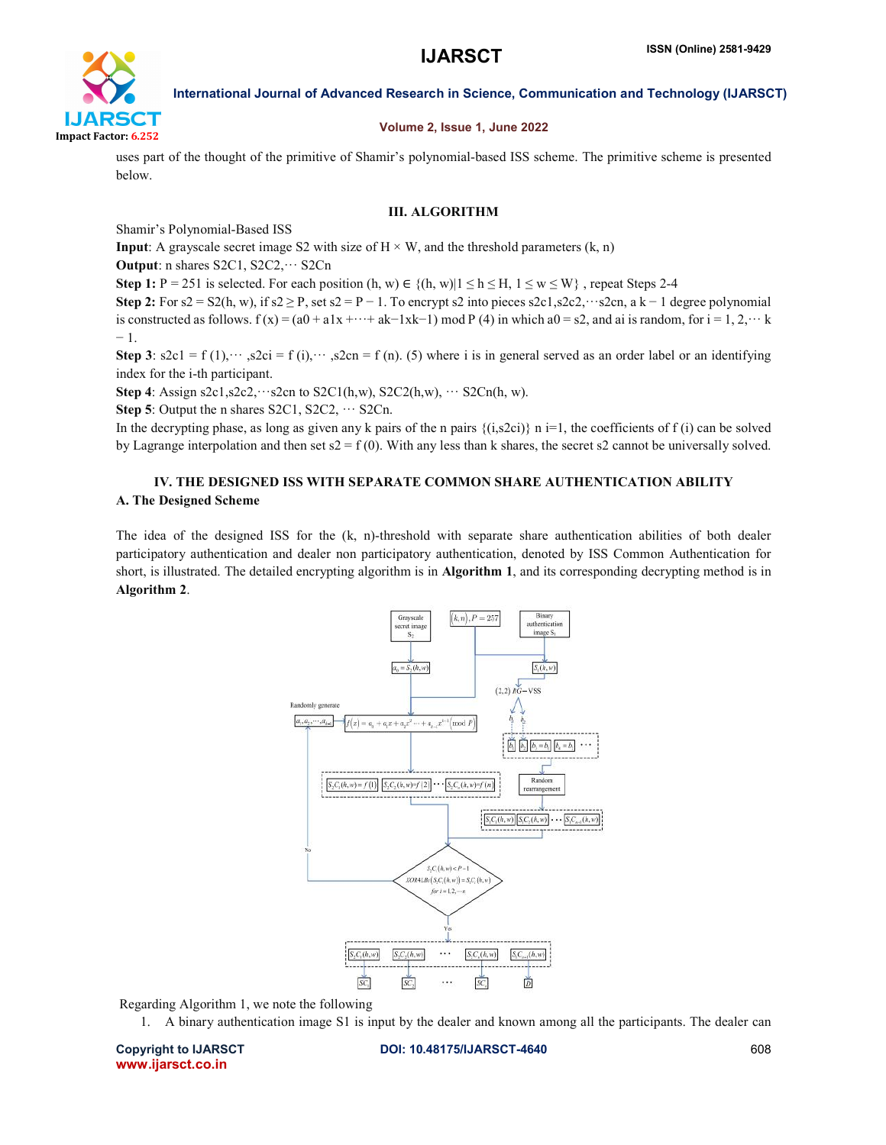

# Volume 2, Issue 1, June 2022

uses part of the thought of the primitive of Shamir's polynomial-based ISS scheme. The primitive scheme is presented below.

# III. ALGORITHM

Shamir's Polynomial-Based ISS

**Input:** A grayscale secret image S2 with size of  $H \times W$ , and the threshold parameters  $(k, n)$ 

**Output:** n shares  $S2C1$ ,  $S2C2$ ,  $\cdots$   $S2Cn$ 

Step 1: P = 251 is selected. For each position  $(h, w) \in \{(h, w)|1 \le h \le H, 1 \le w \le W\}$ , repeat Steps 2-4

Step 2: For s2 = S2(h, w), if s2 ≥ P, set s2 = P – 1. To encrypt s2 into pieces s2c1,s2c2,…s2cn, a k – 1 degree polynomial is constructed as follows.  $f(x) = (a0 + a1x + \cdots + ak-1xk-1) \text{ mod } P(4)$  in which  $a0 = s2$ , and ai is random, for  $i = 1, 2, \cdots k$ − 1.

Step 3:  $s2c1 = f(1), \dots, s2ci = f(i), \dots, s2cn = f(n)$ . (5) where i is in general served as an order label or an identifying index for the i-th participant.

Step 4: Assign s2c1, s2c2,  $\cdots$  s2cn to S2C1(h,w), S2C2(h,w),  $\cdots$  S2Cn(h, w).

Step 5: Output the n shares S2C1, S2C2,  $\cdots$  S2Cn.

In the decrypting phase, as long as given any k pairs of the n pairs  $\{(i, s2ci)\}\$ n i=1, the coefficients of f (i) can be solved by Lagrange interpolation and then set  $s2 = f(0)$ . With any less than k shares, the secret s2 cannot be universally solved.

# IV. THE DESIGNED ISS WITH SEPARATE COMMON SHARE AUTHENTICATION ABILITY A. The Designed Scheme

The idea of the designed ISS for the (k, n)-threshold with separate share authentication abilities of both dealer participatory authentication and dealer non participatory authentication, denoted by ISS Common Authentication for short, is illustrated. The detailed encrypting algorithm is in **Algorithm 1**, and its corresponding decrypting method is in Algorithm 2.



Regarding Algorithm 1, we note the following

1. A binary authentication image S1 is input by the dealer and known among all the participants. The dealer can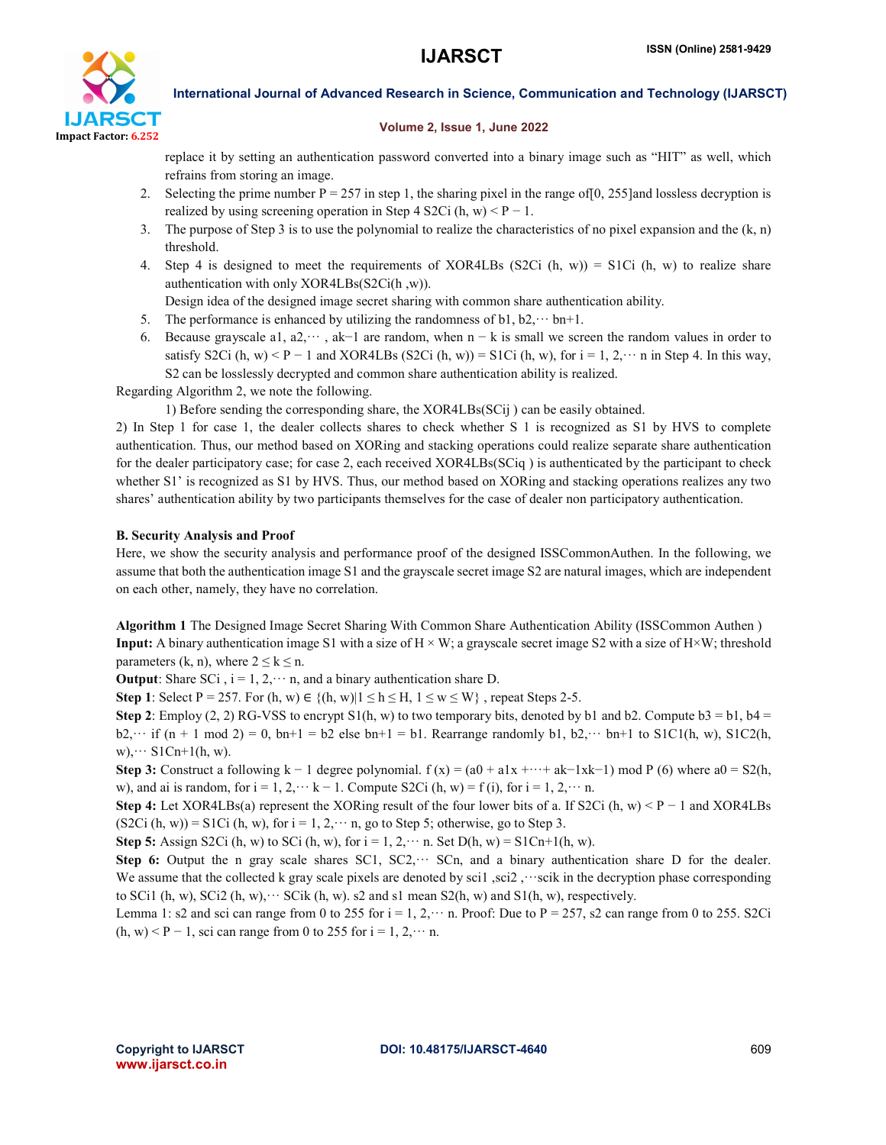

# Volume 2, Issue 1, June 2022

replace it by setting an authentication password converted into a binary image such as "HIT" as well, which refrains from storing an image.

- 2. Selecting the prime number  $P = 257$  in step 1, the sharing pixel in the range of [0, 255] and lossless decryption is realized by using screening operation in Step 4 S2Ci (h, w)  $\leq P - 1$ .
- 3. The purpose of Step 3 is to use the polynomial to realize the characteristics of no pixel expansion and the  $(k, n)$ threshold.
- 4. Step 4 is designed to meet the requirements of XOR4LBs  $(S2Ci (h, w)) = S1Ci (h, w)$  to realize share authentication with only XOR4LBs(S2Ci(h ,w)).

Design idea of the designed image secret sharing with common share authentication ability.

- 5. The performance is enhanced by utilizing the randomness of b1,  $b2, \dots bn+1$ .
- 6. Because grayscale a1, a2,··· , ak−1 are random, when n − k is small we screen the random values in order to satisfy S2Ci (h, w) < P − 1 and XOR4LBs (S2Ci (h, w)) = S1Ci (h, w), for i = 1, 2,  $\cdots$  n in Step 4. In this way, S2 can be losslessly decrypted and common share authentication ability is realized.

Regarding Algorithm 2, we note the following.

1) Before sending the corresponding share, the XOR4LBs(SCij ) can be easily obtained.

2) In Step 1 for case 1, the dealer collects shares to check whether S 1 is recognized as S1 by HVS to complete authentication. Thus, our method based on XORing and stacking operations could realize separate share authentication for the dealer participatory case; for case 2, each received XOR4LBs(SCiq ) is authenticated by the participant to check whether S1' is recognized as S1 by HVS. Thus, our method based on XORing and stacking operations realizes any two shares' authentication ability by two participants themselves for the case of dealer non participatory authentication.

# B. Security Analysis and Proof

Here, we show the security analysis and performance proof of the designed ISSCommonAuthen. In the following, we assume that both the authentication image S1 and the grayscale secret image S2 are natural images, which are independent on each other, namely, they have no correlation.

Algorithm 1 The Designed Image Secret Sharing With Common Share Authentication Ability (ISSCommon Authen ) **Input:** A binary authentication image S1 with a size of  $H \times W$ ; a grayscale secret image S2 with a size of  $H \times W$ ; threshold parameters (k, n), where  $2 \le k \le n$ .

**Output**: Share SCi,  $i = 1, 2, \dots$  n, and a binary authentication share D.

Step 1: Select P = 257. For  $(h, w) \in \{(h, w) | 1 \le h \le H, 1 \le w \le W\}$ , repeat Steps 2-5.

Step 2: Employ (2, 2) RG-VSS to encrypt S1(h, w) to two temporary bits, denoted by b1 and b2. Compute b3 = b1, b4 = b2,  $\cdot \cdot$  if  $(n + 1 \mod 2) = 0$ ,  $bn + 1 = b2$  else  $bn + 1 = b1$ . Rearrange randomly b1, b2,  $\cdot \cdot \cdot$  bn+1 to S1C1(h, w), S1C2(h, w),  $\cdots$  S1Cn+1(h, w).

Step 3: Construct a following k – 1 degree polynomial. f (x) = (a0 + a1x +···+ ak–1xk–1) mod P (6) where a0 = S2(h, w), and ai is random, for  $i = 1, 2, \dots k - 1$ . Compute S2Ci  $(h, w) = f(i)$ , for  $i = 1, 2, \dots n$ .

Step 4: Let XOR4LBs(a) represent the XORing result of the four lower bits of a. If S2Ci (h, w) < P – 1 and XOR4LBs  $(S2Ci (h, w)) = S1Ci (h, w)$ , for  $i = 1, 2, \dots$  n, go to Step 5; otherwise, go to Step 3.

Step 5: Assign S2Ci (h, w) to SCi (h, w), for  $i = 1, 2, \dots$  n. Set D(h, w) = S1Cn+1(h, w).

Step 6: Output the n gray scale shares SC1, SC2, $\cdots$  SCn, and a binary authentication share D for the dealer. We assume that the collected k gray scale pixels are denoted by sci1, sci2,  $\cdots$ scik in the decryption phase corresponding to SCi1 (h, w), SCi2 (h, w),  $\cdot \cdot \cdot$  SCik (h, w). s2 and s1 mean S2(h, w) and S1(h, w), respectively.

Lemma 1: s2 and sci can range from 0 to 255 for  $i = 1, 2, \dots$  n. Proof: Due to P = 257, s2 can range from 0 to 255. S2Ci  $(h, w)$  < P – 1, sci can range from 0 to 255 for  $i = 1, 2, \dots$  n.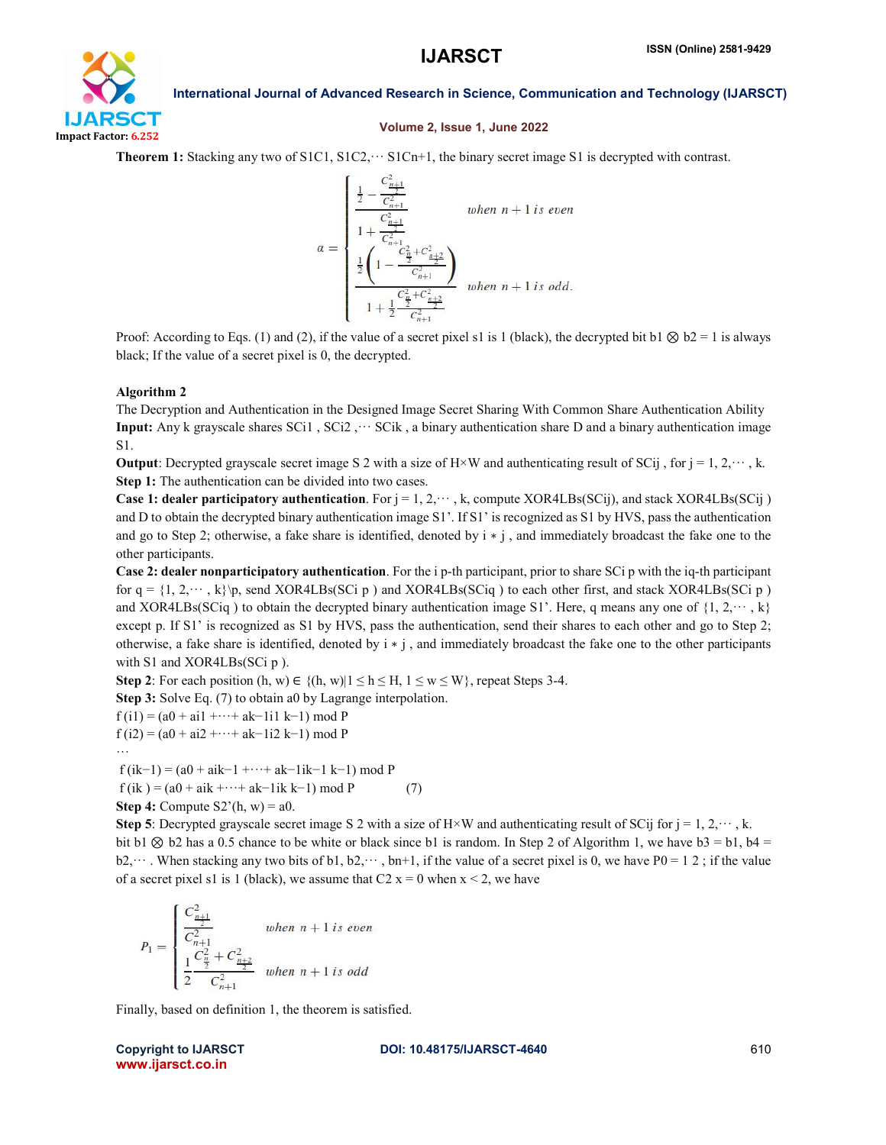

# Volume 2, Issue 1, June 2022

Theorem 1: Stacking any two of S1C1, S1C2, ··· S1Cn+1, the binary secret image S1 is decrypted with contrast.

$$
\alpha = \begin{pmatrix}\n\frac{1}{2} - \frac{C_{\frac{n+1}{2}}^2}{C_{n+1}^2} & \text{when } n+1 \text{ is even} \\
1 + \frac{C_{\frac{n+1}{2}}^2}{C_{n+1}^2} & \text{when } n+1 \text{ is even} \\
\frac{1}{2} \left(1 - \frac{C_{\frac{n}{2}}^2 + C_{\frac{n+2}{2}}^2}{C_{n+1}^2}\right) & \text{when } n+1 \text{ is odd.} \\
1 + \frac{1}{2} \frac{C_{\frac{n}{2}}^2 + C_{\frac{n+2}{2}}^2}{C_{n+1}^2}\n\end{pmatrix}
$$

Proof: According to Eqs. (1) and (2), if the value of a secret pixel s1 is 1 (black), the decrypted bit b1  $\otimes$  b2 = 1 is always black; If the value of a secret pixel is 0, the decrypted.

# Algorithm 2

The Decryption and Authentication in the Designed Image Secret Sharing With Common Share Authentication Ability Input: Any k grayscale shares SCi1, SCi2, ··· SCik, a binary authentication share D and a binary authentication image S1.

**Output**: Decrypted grayscale secret image S 2 with a size of H×W and authenticating result of SCij, for  $j = 1, 2, \dots, k$ . Step 1: The authentication can be divided into two cases.

**Case 1: dealer participatory authentication**. For  $j = 1, 2, \dots, k$ , compute XOR4LBs(SCij), and stack XOR4LBs(SCij) and D to obtain the decrypted binary authentication image S1'. If S1' is recognized as S1 by HVS, pass the authentication and go to Step 2; otherwise, a fake share is identified, denoted by  $i * j$ , and immediately broadcast the fake one to the other participants.

Case 2: dealer nonparticipatory authentication. For the i p-th participant, prior to share SCi p with the iq-th participant for  $q = \{1, 2, \dots, k\}$ , send XOR4LBs(SCi p) and XOR4LBs(SCiq) to each other first, and stack XOR4LBs(SCi p) and XOR4LBs(SCiq) to obtain the decrypted binary authentication image S1'. Here, q means any one of  $\{1, 2, \dots, k\}$ except p. If S1' is recognized as S1 by HVS, pass the authentication, send their shares to each other and go to Step 2; otherwise, a fake share is identified, denoted by i ∗ j , and immediately broadcast the fake one to the other participants with S1 and XOR4LBs(SCi p).

Step 2: For each position  $(h, w) \in \{(h, w) | 1 \le h \le H, 1 \le w \le W\}$ , repeat Steps 3-4.

Step 3: Solve Eq. (7) to obtain a0 by Lagrange interpolation.

$$
f(i1) = (a0 + ai1 + \dots + ak-1i1 k-1) \mod P
$$

$$
f(i2) = (a0 + ai2 + \cdots + ak-1i2 k-1) \mod P
$$

···

f (ik−1) = (a0 + aik−1 +···+ ak−1ik−1 k−1) mod P

 $f (ik) = (a0 + aik + \cdots + ak-1ik k-1) \mod P$  (7)

Step 4: Compute  $S2'(h, w) = a0$ .

Step 5: Decrypted grayscale secret image S 2 with a size of H×W and authenticating result of SCij for  $j = 1, 2, \dots, k$ . bit b1  $\otimes$  b2 has a 0.5 chance to be white or black since b1 is random. In Step 2 of Algorithm 1, we have b3 = b1, b4 =  $b2, \dots$ . When stacking any two bits of b1,  $b2, \dots$ , bn+1, if the value of a secret pixel is 0, we have P0 = 1 2; if the value of a secret pixel s1 is 1 (black), we assume that  $C2 x = 0$  when  $x < 2$ , we have

$$
P_1 = \begin{cases} \frac{C_{\frac{n+1}{2}}^2}{C_{n+1}^2} & when \ n+1 \ is \ even \\ \frac{1}{2} \frac{C_n^2 + C_{\frac{n+2}{2}}^2}{C_{n+1}^2} & when \ n+1 \ is \ odd \end{cases}
$$

Finally, based on definition 1, the theorem is satisfied.

www.ijarsct.co.in

Copyright to IJARSCT **DOI: 10.48175/IJARSCT-4640** 610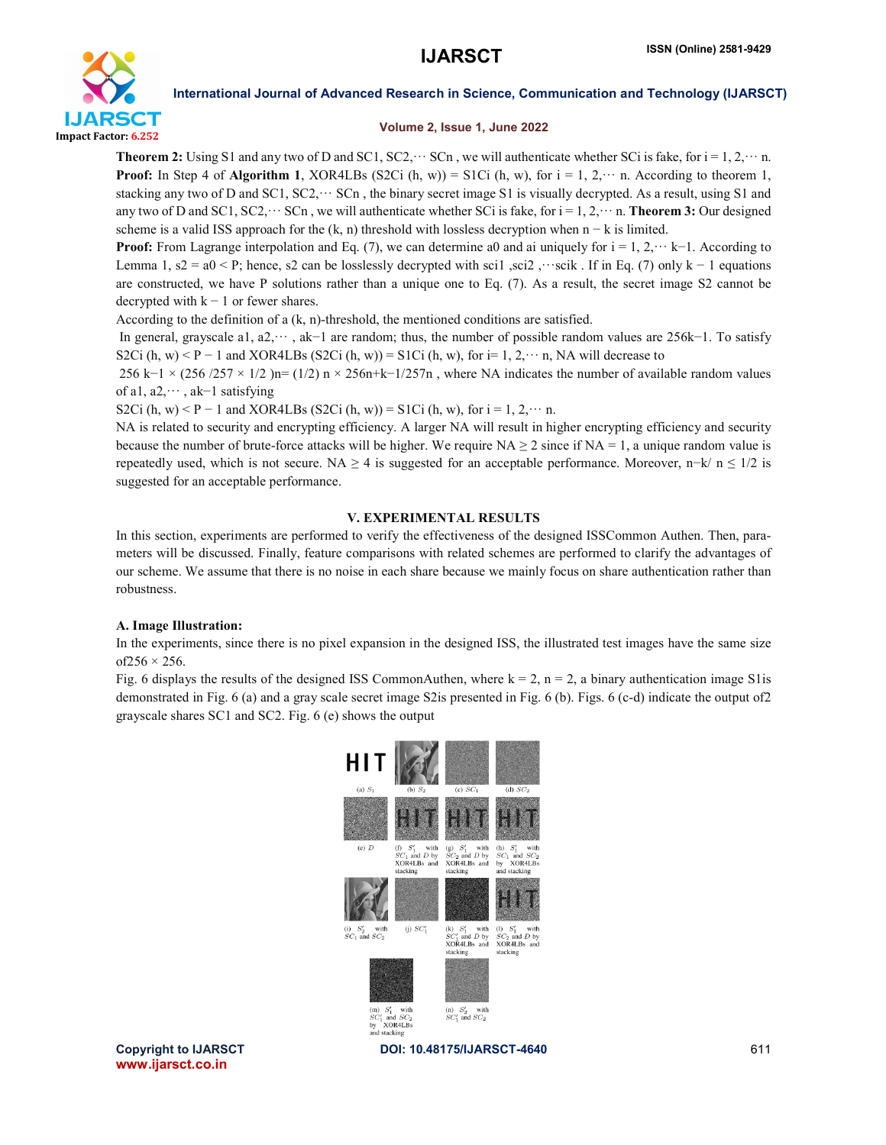

# Volume 2, Issue 1, June 2022

**Theorem 2:** Using S1 and any two of D and SC1, SC2, $\cdots$  SCn, we will authenticate whether SCi is fake, for  $i = 1, 2, \cdots$  n. **Proof:** In Step 4 of Algorithm 1, XOR4LBs (S2Ci  $(h, w)$ ) = S1Ci  $(h, w)$ , for  $i = 1, 2, \dots$  n. According to theorem 1, stacking any two of D and SC1,  $SC2$ .  $\cdot\cdot$  SCn, the binary secret image S1 is visually decrypted. As a result, using S1 and any two of D and SC1, SC2, $\cdots$  SCn, we will authenticate whether SCi is fake, for  $i = 1, 2, \cdots$  n. Theorem 3: Our designed scheme is a valid ISS approach for the  $(k, n)$  threshold with lossless decryption when  $n - k$  is limited.

**Proof:** From Lagrange interpolation and Eq. (7), we can determine a0 and ai uniquely for  $i = 1, 2, \dots k-1$ . According to Lemma 1,  $s2 = a0 \le P$ ; hence, s2 can be losslessly decrypted with sci1 ,sci2 ,…scik. If in Eq. (7) only k − 1 equations are constructed, we have P solutions rather than a unique one to Eq. (7). As a result, the secret image S2 cannot be decrypted with  $k - 1$  or fewer shares.

According to the definition of a (k, n)-threshold, the mentioned conditions are satisfied.

In general, grayscale a1, a2,··· , ak−1 are random; thus, the number of possible random values are 256k−1. To satisfy S2Ci (h, w) < P – 1 and XOR4LBs (S2Ci (h, w)) = S1Ci (h, w), for i= 1, 2,  $\cdots$  n, NA will decrease to

256 k−1 × (256 /257 × 1/2 )n= (1/2) n × 256n+k−1/257n, where NA indicates the number of available random values of a1, a2,··· , ak−1 satisfying

S2Ci (h, w) < P – 1 and XOR4LBs (S2Ci (h, w)) = S1Ci (h, w), for i = 1, 2,  $\cdots$  n.

NA is related to security and encrypting efficiency. A larger NA will result in higher encrypting efficiency and security because the number of brute-force attacks will be higher. We require  $NA \geq 2$  since if  $NA = 1$ , a unique random value is repeatedly used, which is not secure. NA  $\geq 4$  is suggested for an acceptable performance. Moreover, n–k/ n  $\leq 1/2$  is suggested for an acceptable performance.

# V. EXPERIMENTAL RESULTS

In this section, experiments are performed to verify the effectiveness of the designed ISSCommon Authen. Then, parameters will be discussed. Finally, feature comparisons with related schemes are performed to clarify the advantages of our scheme. We assume that there is no noise in each share because we mainly focus on share authentication rather than robustness.

# A. Image Illustration:

In the experiments, since there is no pixel expansion in the designed ISS, the illustrated test images have the same size of  $256 \times 256$ .

Fig. 6 displays the results of the designed ISS CommonAuthen, where  $k = 2$ ,  $n = 2$ , a binary authentication image S1is demonstrated in Fig. 6 (a) and a gray scale secret image S2is presented in Fig. 6 (b). Figs. 6 (c-d) indicate the output of2 grayscale shares SC1 and SC2. Fig. 6 (e) shows the output

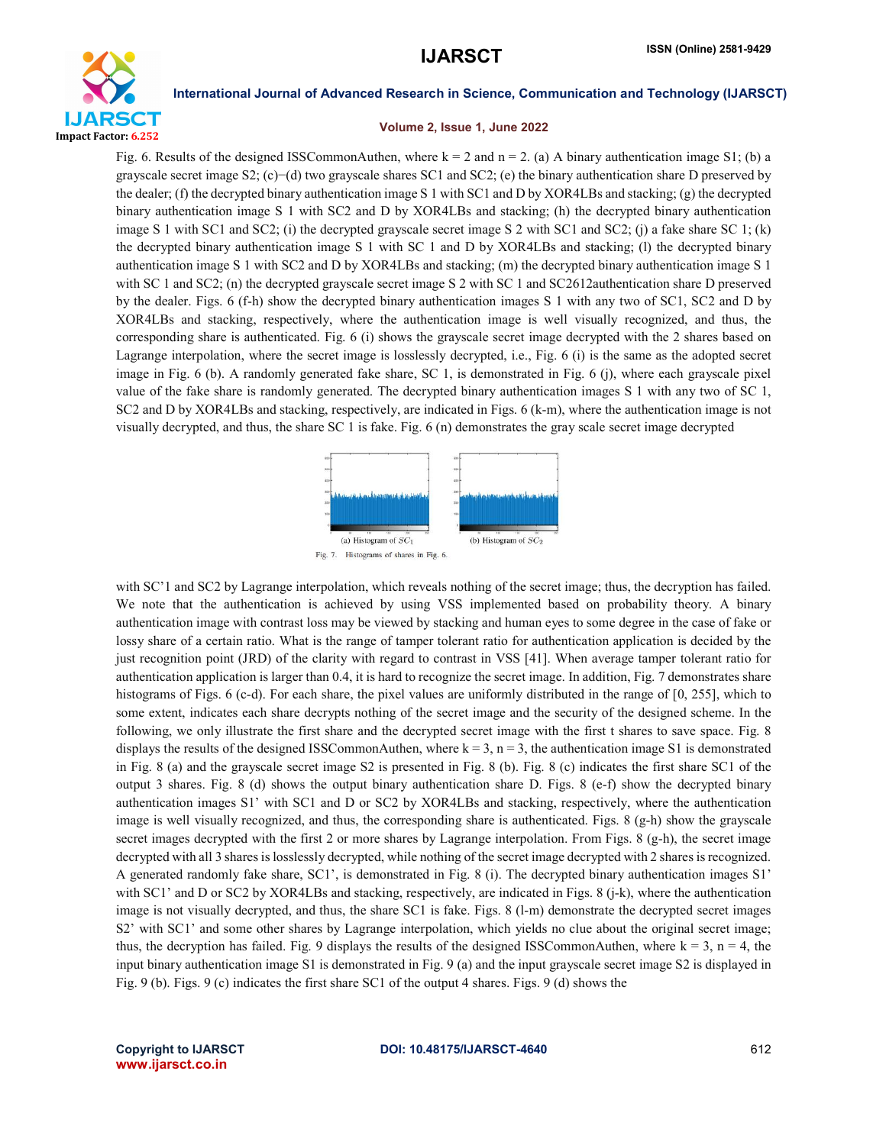

# Volume 2, Issue 1, June 2022

Fig. 6. Results of the designed ISSCommonAuthen, where  $k = 2$  and  $n = 2$ . (a) A binary authentication image S1; (b) a grayscale secret image S2; (c)−(d) two grayscale shares SC1 and SC2; (e) the binary authentication share D preserved by the dealer; (f) the decrypted binary authentication image S 1 with SC1 and D by XOR4LBs and stacking; (g) the decrypted binary authentication image S 1 with SC2 and D by XOR4LBs and stacking; (h) the decrypted binary authentication image S 1 with SC1 and SC2; (i) the decrypted grayscale secret image S 2 with SC1 and SC2; (j) a fake share SC 1; (k) the decrypted binary authentication image S 1 with SC 1 and D by XOR4LBs and stacking; (l) the decrypted binary authentication image S 1 with SC2 and D by XOR4LBs and stacking; (m) the decrypted binary authentication image S 1 with SC 1 and SC2; (n) the decrypted grayscale secret image S 2 with SC 1 and SC2612authentication share D preserved by the dealer. Figs. 6 (f-h) show the decrypted binary authentication images S 1 with any two of SC1, SC2 and D by XOR4LBs and stacking, respectively, where the authentication image is well visually recognized, and thus, the corresponding share is authenticated. Fig. 6 (i) shows the grayscale secret image decrypted with the 2 shares based on Lagrange interpolation, where the secret image is losslessly decrypted, i.e., Fig. 6 (i) is the same as the adopted secret image in Fig. 6 (b). A randomly generated fake share, SC 1, is demonstrated in Fig. 6 (j), where each grayscale pixel value of the fake share is randomly generated. The decrypted binary authentication images S 1 with any two of SC 1, SC2 and D by XOR4LBs and stacking, respectively, are indicated in Figs. 6 (k-m), where the authentication image is not visually decrypted, and thus, the share SC 1 is fake. Fig. 6 (n) demonstrates the gray scale secret image decrypted



with SC'1 and SC2 by Lagrange interpolation, which reveals nothing of the secret image; thus, the decryption has failed. We note that the authentication is achieved by using VSS implemented based on probability theory. A binary authentication image with contrast loss may be viewed by stacking and human eyes to some degree in the case of fake or lossy share of a certain ratio. What is the range of tamper tolerant ratio for authentication application is decided by the just recognition point (JRD) of the clarity with regard to contrast in VSS [41]. When average tamper tolerant ratio for authentication application is larger than 0.4, it is hard to recognize the secret image. In addition, Fig. 7 demonstrates share histograms of Figs. 6 (c-d). For each share, the pixel values are uniformly distributed in the range of [0, 255], which to some extent, indicates each share decrypts nothing of the secret image and the security of the designed scheme. In the following, we only illustrate the first share and the decrypted secret image with the first t shares to save space. Fig. 8 displays the results of the designed ISSCommonAuthen, where  $k = 3$ ,  $n = 3$ , the authentication image S1 is demonstrated in Fig. 8 (a) and the grayscale secret image S2 is presented in Fig. 8 (b). Fig. 8 (c) indicates the first share SC1 of the output 3 shares. Fig. 8 (d) shows the output binary authentication share D. Figs. 8 (e-f) show the decrypted binary authentication images S1' with SC1 and D or SC2 by XOR4LBs and stacking, respectively, where the authentication image is well visually recognized, and thus, the corresponding share is authenticated. Figs. 8 (g-h) show the grayscale secret images decrypted with the first 2 or more shares by Lagrange interpolation. From Figs. 8 (g-h), the secret image decrypted with all 3 shares is losslessly decrypted, while nothing of the secret image decrypted with 2 shares is recognized. A generated randomly fake share, SC1', is demonstrated in Fig. 8 (i). The decrypted binary authentication images S1' with SC1' and D or SC2 by XOR4LBs and stacking, respectively, are indicated in Figs. 8 (j-k), where the authentication image is not visually decrypted, and thus, the share SC1 is fake. Figs. 8 (l-m) demonstrate the decrypted secret images S2' with SC1' and some other shares by Lagrange interpolation, which yields no clue about the original secret image; thus, the decryption has failed. Fig. 9 displays the results of the designed ISSCommonAuthen, where  $k = 3$ ,  $n = 4$ , the input binary authentication image S1 is demonstrated in Fig. 9 (a) and the input grayscale secret image S2 is displayed in Fig. 9 (b). Figs. 9 (c) indicates the first share SC1 of the output 4 shares. Figs. 9 (d) shows the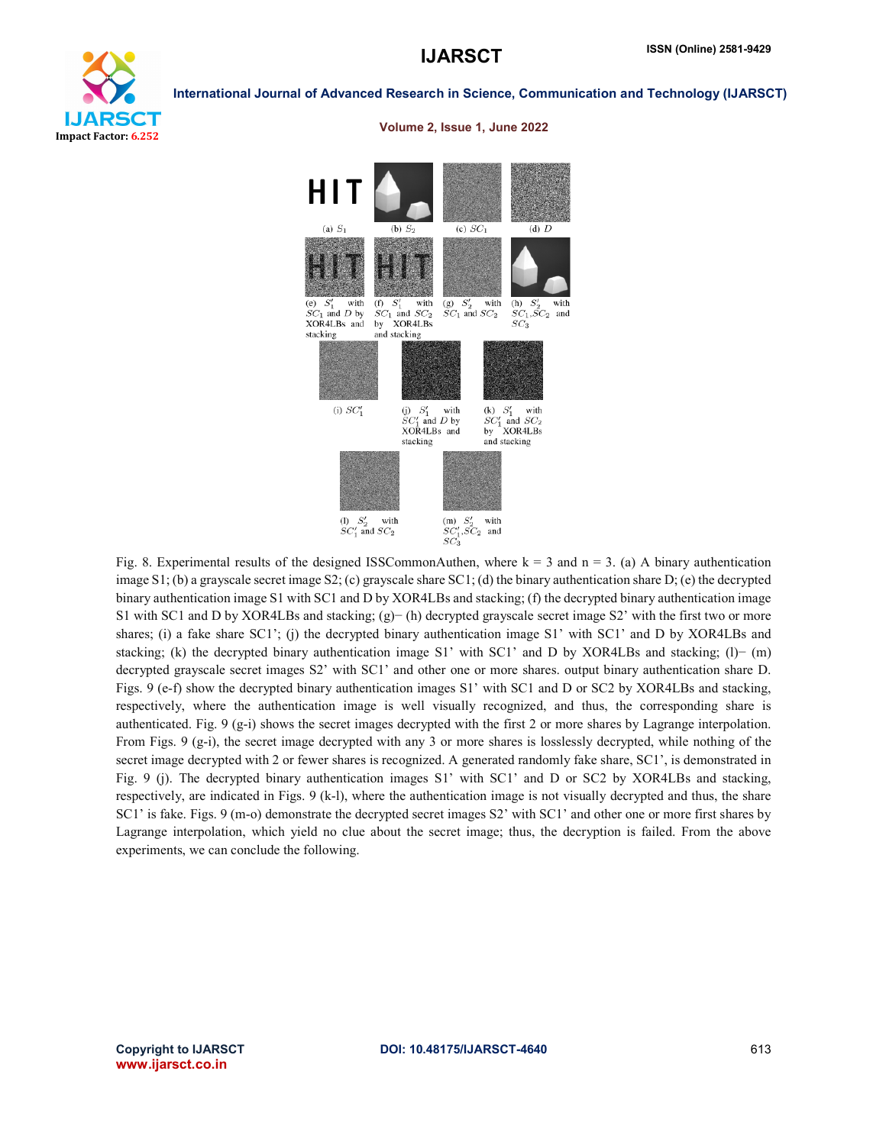





### Volume 2, Issue 1, June 2022

Fig. 8. Experimental results of the designed ISSCommonAuthen, where  $k = 3$  and  $n = 3$ . (a) A binary authentication image S1; (b) a grayscale secret image S2; (c) grayscale share SC1; (d) the binary authentication share D; (e) the decrypted binary authentication image S1 with SC1 and D by XOR4LBs and stacking; (f) the decrypted binary authentication image S1 with SC1 and D by XOR4LBs and stacking; (g)− (h) decrypted grayscale secret image S2' with the first two or more shares; (i) a fake share SC1'; (j) the decrypted binary authentication image S1' with SC1' and D by XOR4LBs and stacking; (k) the decrypted binary authentication image S1' with SC1' and D by XOR4LBs and stacking; (l)− (m) decrypted grayscale secret images S2' with SC1' and other one or more shares. output binary authentication share D. Figs. 9 (e-f) show the decrypted binary authentication images S1' with SC1 and D or SC2 by XOR4LBs and stacking, respectively, where the authentication image is well visually recognized, and thus, the corresponding share is authenticated. Fig. 9 (g-i) shows the secret images decrypted with the first 2 or more shares by Lagrange interpolation. From Figs. 9 (g-i), the secret image decrypted with any 3 or more shares is losslessly decrypted, while nothing of the secret image decrypted with 2 or fewer shares is recognized. A generated randomly fake share, SC1', is demonstrated in Fig. 9 (j). The decrypted binary authentication images S1' with SC1' and D or SC2 by XOR4LBs and stacking, respectively, are indicated in Figs. 9 (k-l), where the authentication image is not visually decrypted and thus, the share SC1' is fake. Figs. 9 (m-o) demonstrate the decrypted secret images S2' with SC1' and other one or more first shares by Lagrange interpolation, which yield no clue about the secret image; thus, the decryption is failed. From the above experiments, we can conclude the following.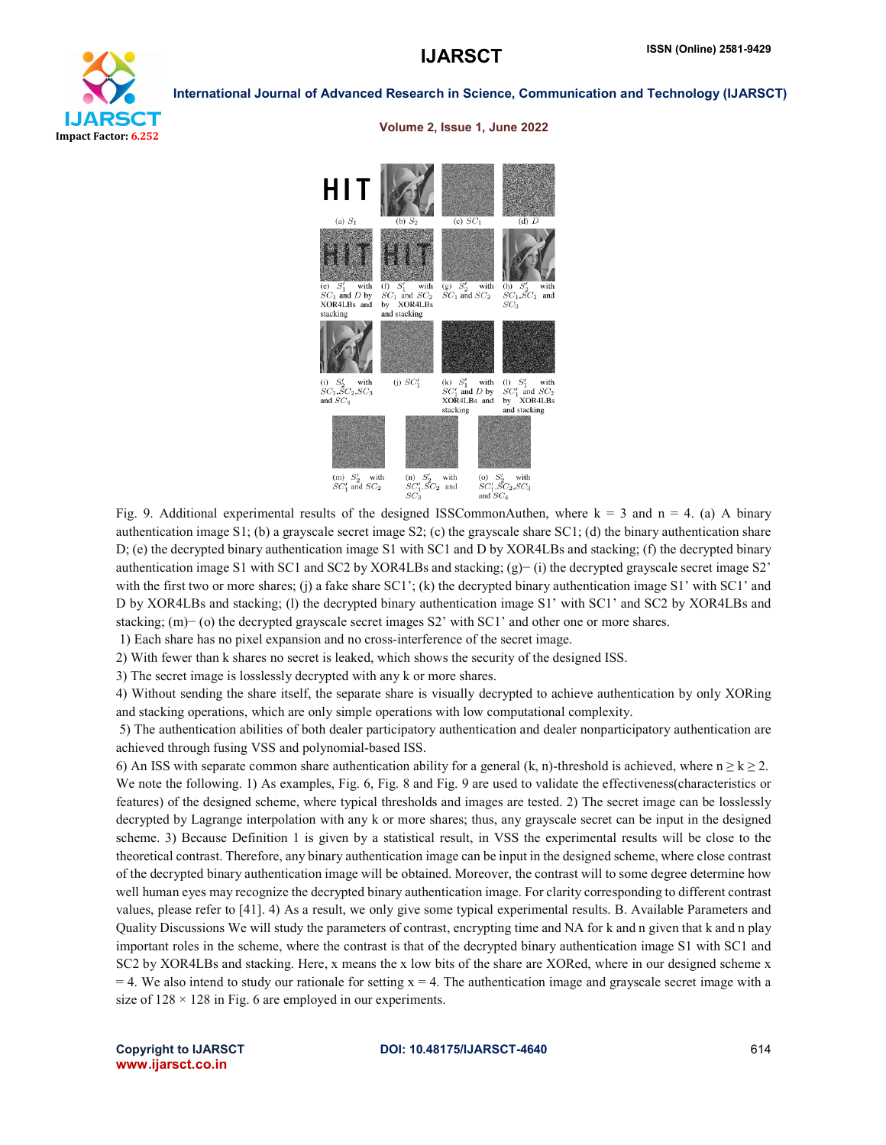



Volume 2, Issue 1, June 2022

Fig. 9. Additional experimental results of the designed ISSCommonAuthen, where  $k = 3$  and  $n = 4$ . (a) A binary authentication image S1; (b) a grayscale secret image S2; (c) the grayscale share SC1; (d) the binary authentication share D; (e) the decrypted binary authentication image S1 with SC1 and D by XOR4LBs and stacking; (f) the decrypted binary authentication image S1 with SC1 and SC2 by XOR4LBs and stacking; (g)− (i) the decrypted grayscale secret image S2' with the first two or more shares; (j) a fake share  $SC1$ ; (k) the decrypted binary authentication image  $S1'$  with  $SC1'$  and D by XOR4LBs and stacking; (l) the decrypted binary authentication image S1' with SC1' and SC2 by XOR4LBs and stacking; (m)− (o) the decrypted grayscale secret images S2' with SC1' and other one or more shares.

1) Each share has no pixel expansion and no cross-interference of the secret image.

2) With fewer than k shares no secret is leaked, which shows the security of the designed ISS.

3) The secret image is losslessly decrypted with any k or more shares.

4) Without sending the share itself, the separate share is visually decrypted to achieve authentication by only XORing and stacking operations, which are only simple operations with low computational complexity.

5) The authentication abilities of both dealer participatory authentication and dealer nonparticipatory authentication are achieved through fusing VSS and polynomial-based ISS.

6) An ISS with separate common share authentication ability for a general (k, n)-threshold is achieved, where  $n \ge k \ge 2$ . We note the following. 1) As examples, Fig. 6, Fig. 8 and Fig. 9 are used to validate the effectiveness(characteristics or features) of the designed scheme, where typical thresholds and images are tested. 2) The secret image can be losslessly decrypted by Lagrange interpolation with any k or more shares; thus, any grayscale secret can be input in the designed scheme. 3) Because Definition 1 is given by a statistical result, in VSS the experimental results will be close to the theoretical contrast. Therefore, any binary authentication image can be input in the designed scheme, where close contrast of the decrypted binary authentication image will be obtained. Moreover, the contrast will to some degree determine how well human eyes may recognize the decrypted binary authentication image. For clarity corresponding to different contrast values, please refer to [41]. 4) As a result, we only give some typical experimental results. B. Available Parameters and Quality Discussions We will study the parameters of contrast, encrypting time and NA for k and n given that k and n play important roles in the scheme, where the contrast is that of the decrypted binary authentication image S1 with SC1 and SC2 by XOR4LBs and stacking. Here, x means the x low bits of the share are XORed, where in our designed scheme x  $=$  4. We also intend to study our rationale for setting  $x = 4$ . The authentication image and grayscale secret image with a size of  $128 \times 128$  in Fig. 6 are employed in our experiments.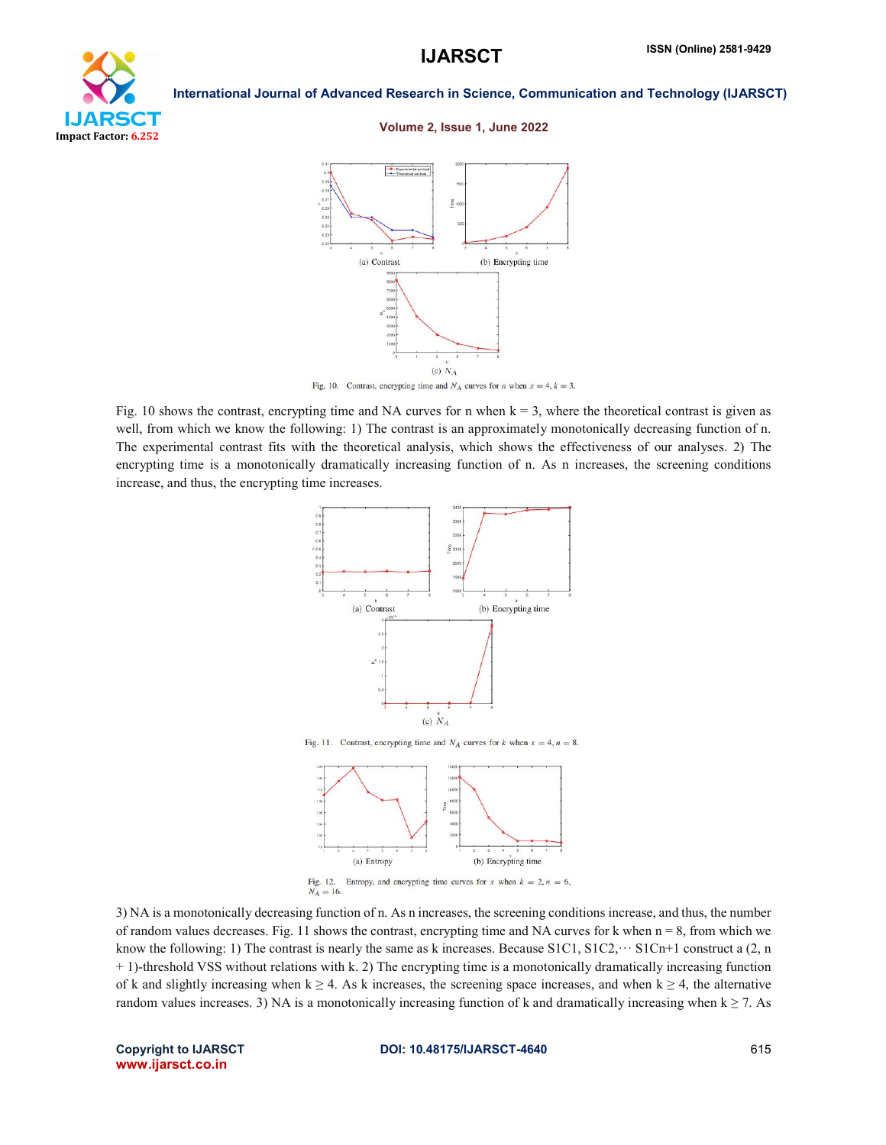

# Volume 2, Issue 1, June 2022



Fig. 10. Contrast, encrypting time and  $N_A$  curves for *n* when  $x = 4$ ,  $k = 3$ .

Fig. 10 shows the contrast, encrypting time and NA curves for n when  $k = 3$ , where the theoretical contrast is given as well, from which we know the following: 1) The contrast is an approximately monotonically decreasing function of n. The experimental contrast fits with the theoretical analysis, which shows the effectiveness of our analyses. 2) The encrypting time is a monotonically dramatically increasing function of n. As n increases, the screening conditions increase, and thus, the encrypting time increases.



 $N_A = 16$ .

3) NA is a monotonically decreasing function of n. As n increases, the screening conditions increase, and thus, the number of random values decreases. Fig. 11 shows the contrast, encrypting time and NA curves for k when  $n = 8$ , from which we know the following: 1) The contrast is nearly the same as k increases. Because S1C1,  $S1C2$ ,  $\cdots$  S1Cn+1 construct a (2, n + 1)-threshold VSS without relations with k. 2) The encrypting time is a monotonically dramatically increasing function of k and slightly increasing when  $k \ge 4$ . As k increases, the screening space increases, and when  $k \ge 4$ , the alternative random values increases. 3) NA is a monotonically increasing function of k and dramatically increasing when  $k \ge 7$ . As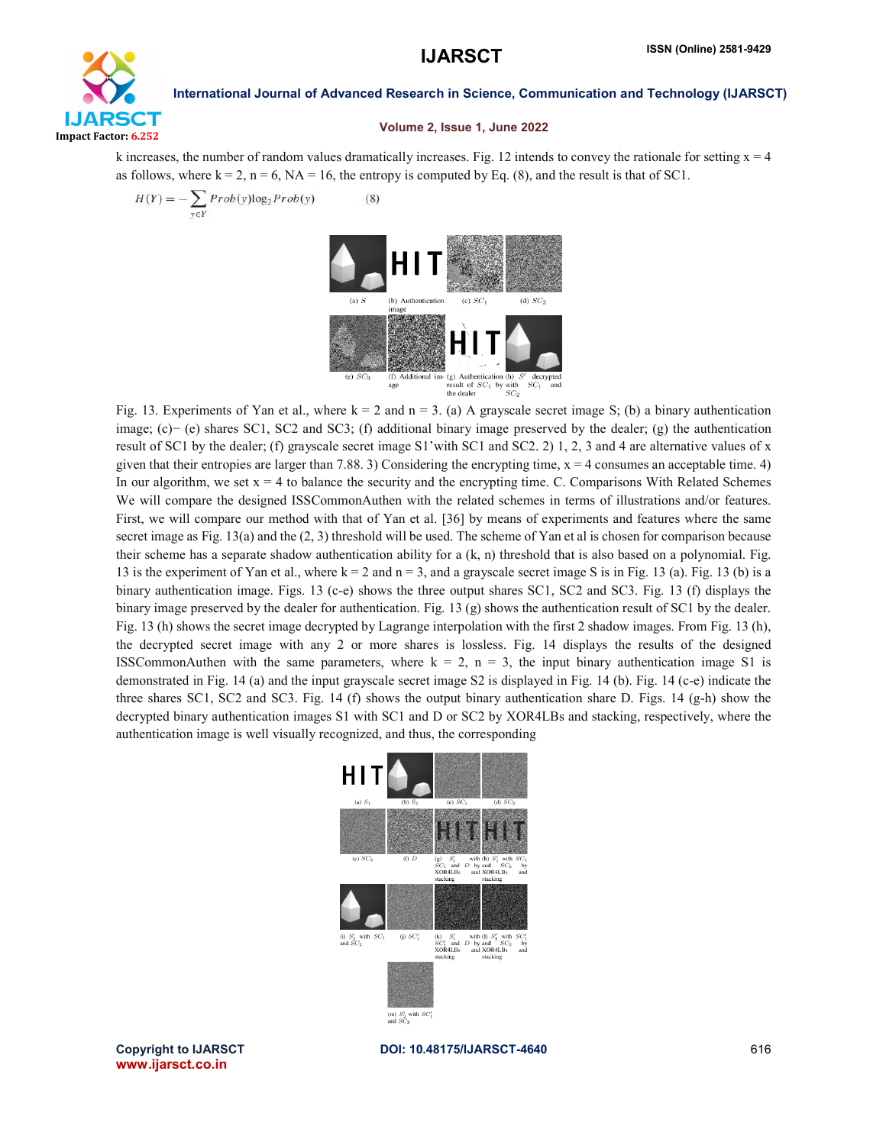

# Volume 2, Issue 1, June 2022

k increases, the number of random values dramatically increases. Fig. 12 intends to convey the rationale for setting  $x = 4$ as follows, where  $k = 2$ ,  $n = 6$ ,  $NA = 16$ , the entropy is computed by Eq. (8), and the result is that of SC1.

 $(8)$ 

$$
H(Y) = -\sum_{y \in Y} Prob(y) \log_2 Prob(y)
$$



Fig. 13. Experiments of Yan et al., where  $k = 2$  and  $n = 3$ . (a) A grayscale secret image S; (b) a binary authentication image; (c)− (e) shares SC1, SC2 and SC3; (f) additional binary image preserved by the dealer; (g) the authentication result of SC1 by the dealer; (f) grayscale secret image S1'with SC1 and SC2. 2) 1, 2, 3 and 4 are alternative values of x given that their entropies are larger than 7.88. 3) Considering the encrypting time,  $x = 4$  consumes an acceptable time. 4) In our algorithm, we set  $x = 4$  to balance the security and the encrypting time. C. Comparisons With Related Schemes We will compare the designed ISSCommonAuthen with the related schemes in terms of illustrations and/or features. First, we will compare our method with that of Yan et al. [36] by means of experiments and features where the same secret image as Fig. 13(a) and the (2, 3) threshold will be used. The scheme of Yan et al is chosen for comparison because their scheme has a separate shadow authentication ability for a  $(k, n)$  threshold that is also based on a polynomial. Fig. 13 is the experiment of Yan et al., where  $k = 2$  and  $n = 3$ , and a grayscale secret image S is in Fig. 13 (a). Fig. 13 (b) is a binary authentication image. Figs. 13 (c-e) shows the three output shares SC1, SC2 and SC3. Fig. 13 (f) displays the binary image preserved by the dealer for authentication. Fig. 13 (g) shows the authentication result of SC1 by the dealer. Fig. 13 (h) shows the secret image decrypted by Lagrange interpolation with the first 2 shadow images. From Fig. 13 (h), the decrypted secret image with any 2 or more shares is lossless. Fig. 14 displays the results of the designed ISSCommonAuthen with the same parameters, where  $k = 2$ ,  $n = 3$ , the input binary authentication image S1 is demonstrated in Fig. 14 (a) and the input grayscale secret image S2 is displayed in Fig. 14 (b). Fig. 14 (c-e) indicate the three shares SC1, SC2 and SC3. Fig. 14 (f) shows the output binary authentication share D. Figs. 14 (g-h) show the decrypted binary authentication images S1 with SC1 and D or SC2 by XOR4LBs and stacking, respectively, where the authentication image is well visually recognized, and thus, the corresponding



Copyright to IJARSCT **DOI: 10.48175/IJARSCT-4640** 616 www.ijarsct.co.in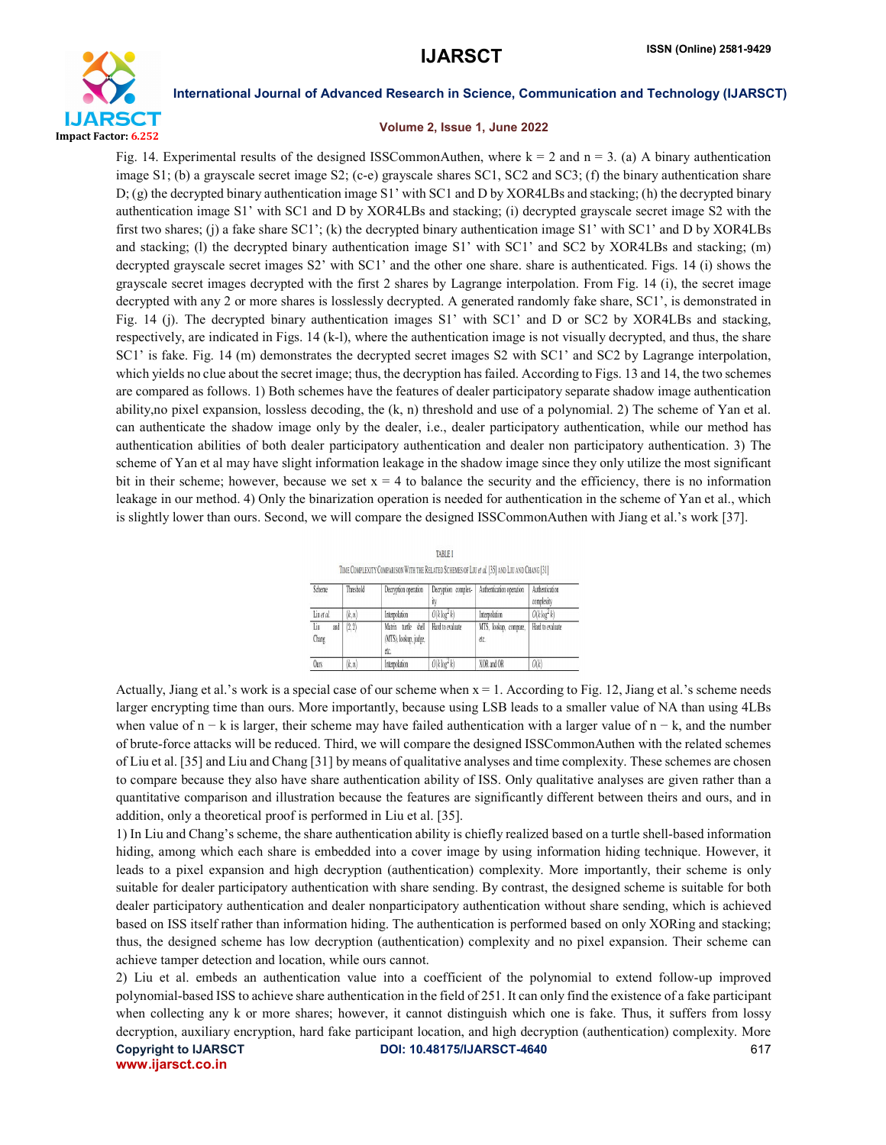

# Volume 2, Issue 1, June 2022

Fig. 14. Experimental results of the designed ISSCommonAuthen, where  $k = 2$  and  $n = 3$ . (a) A binary authentication image S1; (b) a grayscale secret image S2; (c-e) grayscale shares SC1, SC2 and SC3; (f) the binary authentication share D; (g) the decrypted binary authentication image S1' with SC1 and D by XOR4LBs and stacking; (h) the decrypted binary authentication image S1' with SC1 and D by XOR4LBs and stacking; (i) decrypted grayscale secret image S2 with the first two shares; (j) a fake share SC1'; (k) the decrypted binary authentication image S1' with SC1' and D by XOR4LBs and stacking; (I) the decrypted binary authentication image S1' with SC1' and SC2 by XOR4LBs and stacking; (m) decrypted grayscale secret images S2' with SC1' and the other one share. share is authenticated. Figs. 14 (i) shows the grayscale secret images decrypted with the first 2 shares by Lagrange interpolation. From Fig. 14 (i), the secret image decrypted with any 2 or more shares is losslessly decrypted. A generated randomly fake share, SC1', is demonstrated in Fig. 14 (j). The decrypted binary authentication images S1' with SC1' and D or SC2 by XOR4LBs and stacking, respectively, are indicated in Figs. 14 (k-l), where the authentication image is not visually decrypted, and thus, the share SC1' is fake. Fig. 14 (m) demonstrates the decrypted secret images S2 with SC1' and SC2 by Lagrange interpolation, which yields no clue about the secret image; thus, the decryption has failed. According to Figs. 13 and 14, the two schemes are compared as follows. 1) Both schemes have the features of dealer participatory separate shadow image authentication ability,no pixel expansion, lossless decoding, the (k, n) threshold and use of a polynomial. 2) The scheme of Yan et al. can authenticate the shadow image only by the dealer, i.e., dealer participatory authentication, while our method has authentication abilities of both dealer participatory authentication and dealer non participatory authentication. 3) The scheme of Yan et al may have slight information leakage in the shadow image since they only utilize the most significant bit in their scheme; however, because we set  $x = 4$  to balance the security and the efficiency, there is no information leakage in our method. 4) Only the binarization operation is needed for authentication in the scheme of Yan et al., which is slightly lower than ours. Second, we will compare the designed ISSCommonAuthen with Jiang et al.'s work [37].

|                                                                                               |           |                                                            | TABLE I                   |                               |                              |
|-----------------------------------------------------------------------------------------------|-----------|------------------------------------------------------------|---------------------------|-------------------------------|------------------------------|
| TIME COMPLEXITY COMPARISON WITH THE RELATED SCHEMES OF LIU et al. [35] AND LIU AND CHANG [31] |           |                                                            |                           |                               |                              |
| Scheme                                                                                        | Threshold | Decryption operation                                       | Decryption complex-<br>ib | Authentication operation      | Authentication<br>complexity |
| Liu et al.                                                                                    | (k. n     | Interpolation                                              | $O(k \log^2 k)$           | Interpolation                 | $O(k \log^2 k)$              |
| Liu<br>and<br>Chang                                                                           | (2, 2)    | shell<br>Matrix<br>turtle<br>(MTS), lookup, judge,<br>etc. | Hard to evaluate          | MTS, lookup, compare,<br>etc. | Hard to evaluate             |
| Ours                                                                                          | (k. n     | Interpolation                                              | $O(k \log^2 k)$           | XOR and OR                    | O(k)                         |

Actually, Jiang et al.'s work is a special case of our scheme when  $x = 1$ . According to Fig. 12, Jiang et al.'s scheme needs larger encrypting time than ours. More importantly, because using LSB leads to a smaller value of NA than using 4LBs when value of n − k is larger, their scheme may have failed authentication with a larger value of n − k, and the number of brute-force attacks will be reduced. Third, we will compare the designed ISSCommonAuthen with the related schemes of Liu et al. [35] and Liu and Chang [31] by means of qualitative analyses and time complexity. These schemes are chosen to compare because they also have share authentication ability of ISS. Only qualitative analyses are given rather than a quantitative comparison and illustration because the features are significantly different between theirs and ours, and in addition, only a theoretical proof is performed in Liu et al. [35].

1) In Liu and Chang's scheme, the share authentication ability is chiefly realized based on a turtle shell-based information hiding, among which each share is embedded into a cover image by using information hiding technique. However, it leads to a pixel expansion and high decryption (authentication) complexity. More importantly, their scheme is only suitable for dealer participatory authentication with share sending. By contrast, the designed scheme is suitable for both dealer participatory authentication and dealer nonparticipatory authentication without share sending, which is achieved based on ISS itself rather than information hiding. The authentication is performed based on only XORing and stacking; thus, the designed scheme has low decryption (authentication) complexity and no pixel expansion. Their scheme can achieve tamper detection and location, while ours cannot.

Copyright to IJARSCT **DOI: 10.48175/IJARSCT-4640** 617 www.ijarsct.co.in 2) Liu et al. embeds an authentication value into a coefficient of the polynomial to extend follow-up improved polynomial-based ISS to achieve share authentication in the field of 251. It can only find the existence of a fake participant when collecting any k or more shares; however, it cannot distinguish which one is fake. Thus, it suffers from lossy decryption, auxiliary encryption, hard fake participant location, and high decryption (authentication) complexity. More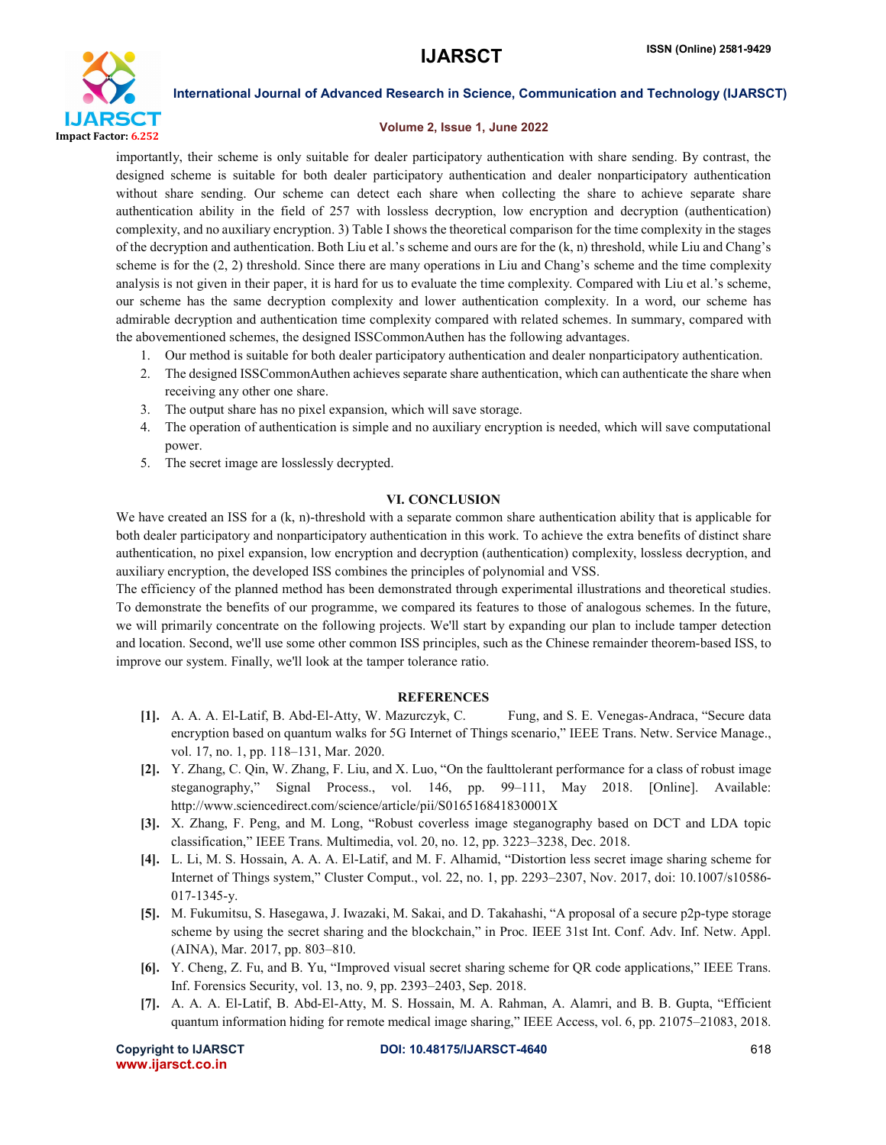

# Volume 2, Issue 1, June 2022

importantly, their scheme is only suitable for dealer participatory authentication with share sending. By contrast, the designed scheme is suitable for both dealer participatory authentication and dealer nonparticipatory authentication without share sending. Our scheme can detect each share when collecting the share to achieve separate share authentication ability in the field of 257 with lossless decryption, low encryption and decryption (authentication) complexity, and no auxiliary encryption. 3) Table I shows the theoretical comparison for the time complexity in the stages of the decryption and authentication. Both Liu et al.'s scheme and ours are for the (k, n) threshold, while Liu and Chang's scheme is for the (2, 2) threshold. Since there are many operations in Liu and Chang's scheme and the time complexity analysis is not given in their paper, it is hard for us to evaluate the time complexity. Compared with Liu et al.'s scheme, our scheme has the same decryption complexity and lower authentication complexity. In a word, our scheme has admirable decryption and authentication time complexity compared with related schemes. In summary, compared with the abovementioned schemes, the designed ISSCommonAuthen has the following advantages.

- 1. Our method is suitable for both dealer participatory authentication and dealer nonparticipatory authentication.
- 2. The designed ISSCommonAuthen achieves separate share authentication, which can authenticate the share when receiving any other one share.
- 3. The output share has no pixel expansion, which will save storage.
- 4. The operation of authentication is simple and no auxiliary encryption is needed, which will save computational power.
- 5. The secret image are losslessly decrypted.

# VI. CONCLUSION

We have created an ISS for a  $(k, n)$ -threshold with a separate common share authentication ability that is applicable for both dealer participatory and nonparticipatory authentication in this work. To achieve the extra benefits of distinct share authentication, no pixel expansion, low encryption and decryption (authentication) complexity, lossless decryption, and auxiliary encryption, the developed ISS combines the principles of polynomial and VSS.

The efficiency of the planned method has been demonstrated through experimental illustrations and theoretical studies. To demonstrate the benefits of our programme, we compared its features to those of analogous schemes. In the future, we will primarily concentrate on the following projects. We'll start by expanding our plan to include tamper detection and location. Second, we'll use some other common ISS principles, such as the Chinese remainder theorem-based ISS, to improve our system. Finally, we'll look at the tamper tolerance ratio.

## **REFERENCES**

- [1]. A. A. A. El-Latif, B. Abd-El-Atty, W. Mazurczyk, C. Fung, and S. E. Venegas-Andraca, "Secure data encryption based on quantum walks for 5G Internet of Things scenario," IEEE Trans. Netw. Service Manage., vol. 17, no. 1, pp. 118–131, Mar. 2020.
- [2]. Y. Zhang, C. Qin, W. Zhang, F. Liu, and X. Luo, "On the faulttolerant performance for a class of robust image steganography," Signal Process., vol. 146, pp. 99–111, May 2018. [Online]. Available: http://www.sciencedirect.com/science/article/pii/S016516841830001X
- [3]. X. Zhang, F. Peng, and M. Long, "Robust coverless image steganography based on DCT and LDA topic classification," IEEE Trans. Multimedia, vol. 20, no. 12, pp. 3223–3238, Dec. 2018.
- [4]. L. Li, M. S. Hossain, A. A. A. El-Latif, and M. F. Alhamid, "Distortion less secret image sharing scheme for Internet of Things system," Cluster Comput., vol. 22, no. 1, pp. 2293–2307, Nov. 2017, doi: 10.1007/s10586- 017-1345-y.
- [5]. M. Fukumitsu, S. Hasegawa, J. Iwazaki, M. Sakai, and D. Takahashi, "A proposal of a secure p2p-type storage scheme by using the secret sharing and the blockchain," in Proc. IEEE 31st Int. Conf. Adv. Inf. Netw. Appl. (AINA), Mar. 2017, pp. 803–810.
- [6]. Y. Cheng, Z. Fu, and B. Yu, "Improved visual secret sharing scheme for QR code applications," IEEE Trans. Inf. Forensics Security, vol. 13, no. 9, pp. 2393–2403, Sep. 2018.
- [7]. A. A. A. El-Latif, B. Abd-El-Atty, M. S. Hossain, M. A. Rahman, A. Alamri, and B. B. Gupta, "Efficient quantum information hiding for remote medical image sharing," IEEE Access, vol. 6, pp. 21075–21083, 2018.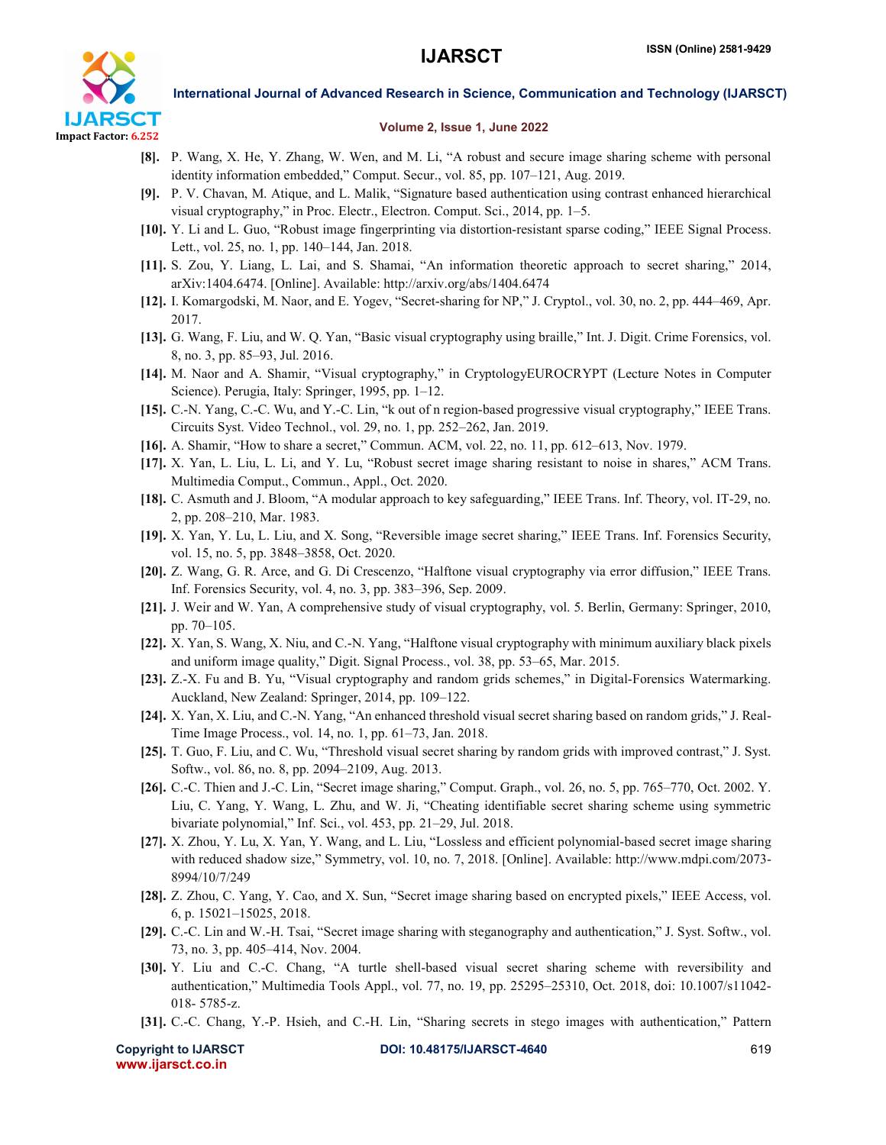

### Volume 2, Issue 1, June 2022

- [8]. P. Wang, X. He, Y. Zhang, W. Wen, and M. Li, "A robust and secure image sharing scheme with personal identity information embedded," Comput. Secur., vol. 85, pp. 107–121, Aug. 2019.
- [9]. P. V. Chavan, M. Atique, and L. Malik, "Signature based authentication using contrast enhanced hierarchical visual cryptography," in Proc. Electr., Electron. Comput. Sci., 2014, pp. 1-5.
- [10]. Y. Li and L. Guo, "Robust image fingerprinting via distortion-resistant sparse coding," IEEE Signal Process. Lett., vol. 25, no. 1, pp. 140–144, Jan. 2018.
- [11]. S. Zou, Y. Liang, L. Lai, and S. Shamai, "An information theoretic approach to secret sharing," 2014, arXiv:1404.6474. [Online]. Available: http://arxiv.org/abs/1404.6474
- [12]. I. Komargodski, M. Naor, and E. Yogev, "Secret-sharing for NP," J. Cryptol., vol. 30, no. 2, pp. 444–469, Apr. 2017.
- [13]. G. Wang, F. Liu, and W. Q. Yan, "Basic visual cryptography using braille," Int. J. Digit. Crime Forensics, vol. 8, no. 3, pp. 85–93, Jul. 2016.
- [14]. M. Naor and A. Shamir, "Visual cryptography," in CryptologyEUROCRYPT (Lecture Notes in Computer Science). Perugia, Italy: Springer, 1995, pp. 1–12.
- [15]. C.-N. Yang, C.-C. Wu, and Y.-C. Lin, "k out of n region-based progressive visual cryptography," IEEE Trans. Circuits Syst. Video Technol., vol. 29, no. 1, pp. 252–262, Jan. 2019.
- [16]. A. Shamir, "How to share a secret," Commun. ACM, vol. 22, no. 11, pp. 612–613, Nov. 1979.
- [17]. X. Yan, L. Liu, L. Li, and Y. Lu, "Robust secret image sharing resistant to noise in shares," ACM Trans. Multimedia Comput., Commun., Appl., Oct. 2020.
- [18]. C. Asmuth and J. Bloom, "A modular approach to key safeguarding," IEEE Trans. Inf. Theory, vol. IT-29, no. 2, pp. 208–210, Mar. 1983.
- [19]. X. Yan, Y. Lu, L. Liu, and X. Song, "Reversible image secret sharing," IEEE Trans. Inf. Forensics Security, vol. 15, no. 5, pp. 3848–3858, Oct. 2020.
- [20]. Z. Wang, G. R. Arce, and G. Di Crescenzo, "Halftone visual cryptography via error diffusion," IEEE Trans. Inf. Forensics Security, vol. 4, no. 3, pp. 383–396, Sep. 2009.
- [21]. J. Weir and W. Yan, A comprehensive study of visual cryptography, vol. 5. Berlin, Germany: Springer, 2010, pp. 70–105.
- [22]. X. Yan, S. Wang, X. Niu, and C.-N. Yang, "Halftone visual cryptography with minimum auxiliary black pixels and uniform image quality," Digit. Signal Process., vol. 38, pp. 53–65, Mar. 2015.
- [23]. Z.-X. Fu and B. Yu, "Visual cryptography and random grids schemes," in Digital-Forensics Watermarking. Auckland, New Zealand: Springer, 2014, pp. 109–122.
- [24]. X. Yan, X. Liu, and C.-N. Yang, "An enhanced threshold visual secret sharing based on random grids," J. Real-Time Image Process., vol. 14, no. 1, pp. 61–73, Jan. 2018.
- [25]. T. Guo, F. Liu, and C. Wu, "Threshold visual secret sharing by random grids with improved contrast," J. Syst. Softw., vol. 86, no. 8, pp. 2094–2109, Aug. 2013.
- [26]. C.-C. Thien and J.-C. Lin, "Secret image sharing," Comput. Graph., vol. 26, no. 5, pp. 765–770, Oct. 2002. Y. Liu, C. Yang, Y. Wang, L. Zhu, and W. Ji, "Cheating identifiable secret sharing scheme using symmetric bivariate polynomial," Inf. Sci., vol. 453, pp. 21–29, Jul. 2018.
- [27]. X. Zhou, Y. Lu, X. Yan, Y. Wang, and L. Liu, "Lossless and efficient polynomial-based secret image sharing with reduced shadow size," Symmetry, vol. 10, no. 7, 2018. [Online]. Available: http://www.mdpi.com/2073- 8994/10/7/249
- [28]. Z. Zhou, C. Yang, Y. Cao, and X. Sun, "Secret image sharing based on encrypted pixels," IEEE Access, vol. 6, p. 15021–15025, 2018.
- [29]. C.-C. Lin and W.-H. Tsai, "Secret image sharing with steganography and authentication," J. Syst. Softw., vol. 73, no. 3, pp. 405–414, Nov. 2004.
- [30]. Y. Liu and C.-C. Chang, "A turtle shell-based visual secret sharing scheme with reversibility and authentication," Multimedia Tools Appl., vol. 77, no. 19, pp. 25295–25310, Oct. 2018, doi: 10.1007/s11042- 018- 5785-z.
- [31]. C.-C. Chang, Y.-P. Hsieh, and C.-H. Lin, "Sharing secrets in stego images with authentication," Pattern